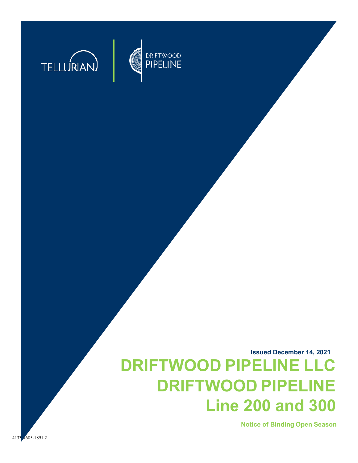

TELLURIAN

# **Issued December 14, 2021 DRIFTWOOD PIPELINE LLC DRIFTWOOD PIPELINE Line 200 and 300**

**Notice of Binding Open Season**

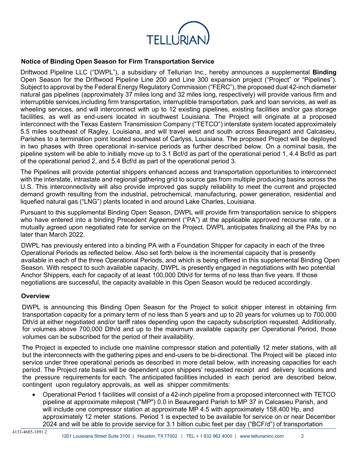

# **Notice of Binding Open Season for Firm Transportation Service**

Driftwood Pipeline LLC ("DWPL"), a subsidiary of Tellurian Inc., hereby announces a supplemental **Binding** Open Season for the Driftwood Pipeline Line 200 and Line 300 expansion project ("Project" or "Pipelines"). Subject to approval by the Federal Energy Regulatory Commission ("FERC"), the proposed dual 42-inch diameter natural gas pipelines (approximately 37 miles long and 32 miles long, respectively) will provide various firm and interruptible services,including firm transportation, interruptible transportation, park and loan services, as well as wheeling services, and will interconnect with up to 12 existing pipelines, existing facilities and/or gas storage facilities, as well as end-users located in southwest Louisiana. The Project will originate at a proposed interconnect with the Texas Eastern Transmission Company ("TETCO") interstate system located approximately 5.5 miles southeast of Ragley, Louisiana, and will travel west and south across Beauregard and Calcasieu, Parishes to a termination point located southeast of Carlyss, Louisiana. The proposed Project will be deployed in two phases with three operational in-service periods as further described below. On a nominal basis, the pipeline system will be able to initially move up to 3.1 Bcf/d as part of the operational period 1, 4.4 Bcf/d as part of the operational period 2, and 5.4 Bcf/d as part of the operational period 3.

The Pipelines will provide potential shippers enhanced access and transportation opportunities to interconnect with the interstate, intrastate and regional gathering grid to source gas from multiple producing basins across the U.S. This interconnectivity will also provide improved gas supply reliability to meet the current and projected demand growth resulting from the industrial, petrochemical, manufacturing, power generation, residential and liquefied natural gas ("LNG") plants located in and around Lake Charles, Louisiana.

Pursuant to this supplemental Binding Open Season, DWPL will provide firm transportation service to shippers who have entered into a binding Precedent Agreement ("PA") at the applicable approved recourse rate, or a mutually agreed upon negotiated rate for service on the Project. DWPL anticipates finalizing all the PAs by no later than March 2022.

DWPL has previously entered into a binding PA with a Foundation Shipper for capacity in each of the three Operational Periods as reflected below. Also set forth below is the incremental capacity that is presently available in each of the three Operational Periods, and which is being offered in this supplemental Binding Open Season. With respect to such available capacity, DWPL is presently engaged in negotiations with two potential Anchor Shippers, each for capacity of at least 100,000 Dth/d for terms of no less than five years. If those negotiations are successful, the capacity available in this Open Season would be reduced accordingly.

#### **Overview**

DWPL is announcing this Binding Open Season for the Project to solicit shipper interest in obtaining firm transportation capacity for a primary term of no less than 5 years and up to 20 years for volumes up to 700,000 Dth/d at either negotiated and/or tariff rates depending upon the capacity subscription requested. Additionally, for volumes above 700,000 Dth/d and up to the maximum available capacity per Operational Period, those volumes can be subscribed for the period of their availability.

The Project is expected to include one mainline compressor station and potentially 12 meter stations, with all but the interconnects with the gathering pipes and end-users to be bi-directional. The Project will be placed into service under three operational periods as described in more detail below, with increasing capacities for each period. The Project rate basis will be dependent upon shippers' requested receipt and delivery locations and the pressure requirements for each. The anticipated facilities included in each period are described below, contingent upon regulatory approvals, as well as shipper commitments:

• Operational Period 1 facilities will consist of a 42-inch pipeline from a proposed interconnect with TETCO pipeline at approximate milepost ("MP") 0.0 in Beauregard Parish to MP 37 in Calcasieu Parish, and will include one compressor station at approximate MP 4.5 with approximately 158,400 Hp, and approximately 12 meter stations. Period 1 is expected to be available for service on or near December 2024 and will be able to provide service for 3.1 billion cubic feet per day ("BCF/d") of transportation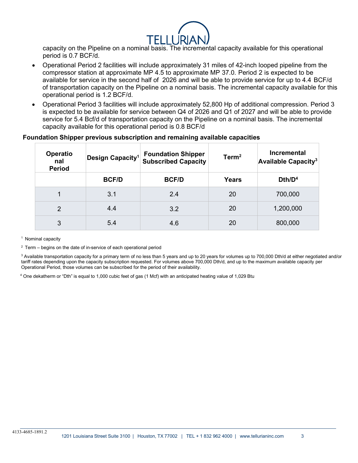

capacity on the Pipeline on a nominal basis. The incremental capacity available for this operational period is 0.7 BCF/d.

- Operational Period 2 facilities will include approximately 31 miles of 42-inch looped pipeline from the compressor station at approximate MP 4.5 to approximate MP 37.0. Period 2 is expected to be available for service in the second half of 2026 and will be able to provide service for up to 4.4 BCF/d of transportation capacity on the Pipeline on a nominal basis. The incremental capacity available for this operational period is 1.2 BCF/d.
- Operational Period 3 facilities will include approximately 52,800 Hp of additional compression. Period 3 is expected to be available for service between Q4 of 2026 and Q1 of 2027 and will be able to provide service for 5.4 Bcf/d of transportation capacity on the Pipeline on a nominal basis. The incremental capacity available for this operational period is 0.8 BCF/d

#### **Foundation Shipper previous subscription and remaining available capacities**

| <b>Operatio</b><br>nal<br><b>Period</b> | Design Capacity <sup>1</sup> | <b>Foundation Shipper</b><br><b>Subscribed Capacity</b> | Term <sup>2</sup> | <b>Incremental</b><br><b>Available Capacity</b> <sup>3</sup> |
|-----------------------------------------|------------------------------|---------------------------------------------------------|-------------------|--------------------------------------------------------------|
|                                         | <b>BCF/D</b>                 | <b>BCF/D</b>                                            | Years             | Dth/D <sup>4</sup>                                           |
| 1                                       | 3.1                          | 2.4                                                     | 20                | 700,000                                                      |
| 2                                       | 4.4                          | 3.2                                                     | 20                | 1,200,000                                                    |
| 3                                       | 5.4                          | 4.6                                                     | 20                | 800,000                                                      |

<sup>1</sup> Nominal capacity

 $2$  Term – begins on the date of in-service of each operational period

<sup>3</sup> Available transportation capacity for a primary term of no less than 5 years and up to 20 years for volumes up to 700,000 Dth/d at either negotiated and/or tariff rates depending upon the capacity subscription requested. For volumes above 700,000 Dth/d, and up to the maximum available capacity per Operational Period, those volumes can be subscribed for the period of their availability.

<sup>4</sup> One dekatherm or "Dth" is equal to 1,000 cubic feet of gas (1 Mcf) with an anticipated heating value of 1,029 Btu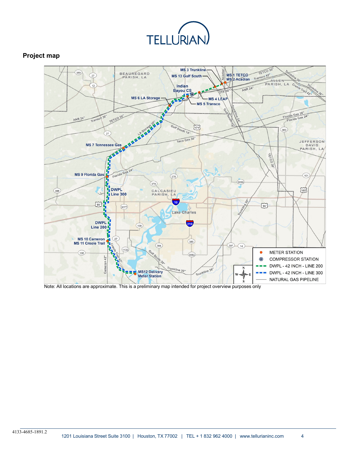![](_page_3_Picture_0.jpeg)

# **Project map**

![](_page_3_Figure_2.jpeg)

Note: All locations are approximate. This is a preliminary map intended for project overview purposes only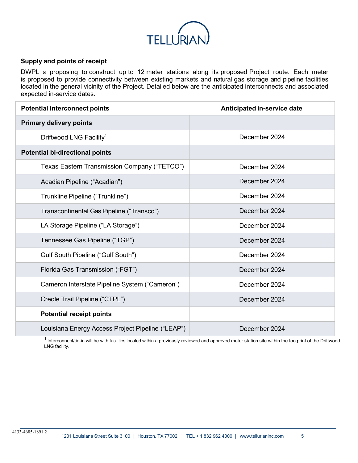![](_page_4_Picture_0.jpeg)

## **Supply and points of receipt**

DWPL is proposing to construct up to 12 meter stations along its proposed Project route. Each meter is proposed to provide connectivity between existing markets and natural gas storage and pipeline facilities located in the general vicinity of the Project. Detailed below are the anticipated interconnects and associated expected in-service dates.

| <b>Potential interconnect points</b>              | Anticipated in-service date |  |
|---------------------------------------------------|-----------------------------|--|
| <b>Primary delivery points</b>                    |                             |  |
| Driftwood LNG Facility <sup>1</sup>               | December 2024               |  |
| <b>Potential bi-directional points</b>            |                             |  |
| Texas Eastern Transmission Company ("TETCO")      | December 2024               |  |
| Acadian Pipeline ("Acadian")                      | December 2024               |  |
| Trunkline Pipeline ("Trunkline")                  | December 2024               |  |
| Transcontinental Gas Pipeline ("Transco")         | December 2024               |  |
| LA Storage Pipeline ("LA Storage")                | December 2024               |  |
| Tennessee Gas Pipeline ("TGP")                    | December 2024               |  |
| Gulf South Pipeline ("Gulf South")                | December 2024               |  |
| Florida Gas Transmission ("FGT")                  | December 2024               |  |
| Cameron Interstate Pipeline System ("Cameron")    | December 2024               |  |
| Creole Trail Pipeline ("CTPL")                    | December 2024               |  |
| <b>Potential receipt points</b>                   |                             |  |
| Louisiana Energy Access Project Pipeline ("LEAP") | December 2024               |  |

 $1$  Interconnect/tie-in will be with facilities located within a previously reviewed and approved meter station site within the footprint of the Driftwood LNG facility.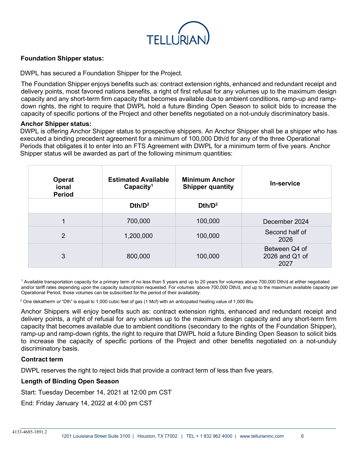![](_page_5_Picture_0.jpeg)

#### **Foundation Shipper status:**

DWPL has secured a Foundation Shipper for the Project.

The Foundation Shipper enjoys benefits such as: contract extension rights, enhanced and redundant receipt and delivery points, most favored nations benefits, a right of first refusal for any volumes up to the maximum design capacity and any short-term firm capacity that becomes available due to ambient conditions, ramp-up and rampdown rights, the right to require that DWPL hold a future Binding Open Season to solicit bids to increase the capacity of specific portions of the Project and other benefits negotiated on a not-unduly discriminatory basis.

#### **Anchor Shipper status:**

DWPL is offering Anchor Shipper status to prospective shippers. An Anchor Shipper shall be a shipper who has executed a binding precedent agreement for a minimum of 100,000 Dth/d for any of the three Operational Periods that obligates it to enter into an FTS Agreement with DWPL for a minimum term of five years. Anchor Shipper status will be awarded as part of the following minimum quantities:

| <b>Operat</b><br>ional<br><b>Period</b> | <b>Estimated Available</b><br>Capacity <sup>1</sup> | <b>Minimum Anchor</b><br><b>Shipper quantity</b> | In-service                              |
|-----------------------------------------|-----------------------------------------------------|--------------------------------------------------|-----------------------------------------|
|                                         | $Dth/D^2$                                           | $Dth/D^2$                                        |                                         |
| 1                                       | 700,000                                             | 100,000                                          | December 2024                           |
| $\overline{2}$                          | 1,200,000                                           | 100,000                                          | Second half of<br>2026                  |
| 3                                       | 800,000                                             | 100,000                                          | Between Q4 of<br>2026 and Q1 of<br>2027 |

<sup>1</sup> Available transportation capacity for a primary term of no less than 5 years and up to 20 years for volumes above 700,000 Dth/d at either negotiated and/or tariff rates depending upon the capacity subscription requested. For volumes above 700,000 Dth/d, and up to the maximum available capacity per Operational Period, those volumes can be subscribed for the period of their availability.

 $2$  One dekatherm or "Dth" is equal to 1,000 cubic feet of gas (1 Mcf) with an anticipated heating value of 1,000 Btu

Anchor Shippers will enjoy benefits such as: contract extension rights, enhanced and redundant receipt and delivery points, a right of refusal for any volumes up to the maximum design capacity and any short-term firm capacity that becomes available due to ambient conditions (secondary to the rights of the Foundation Shipper), ramp-up and ramp-down rights, the right to require that DWPL hold a future Binding Open Season to solicit bids to increase the capacity of specific portions of the Project and other benefits negotiated on a not-unduly discriminatory basis.

#### **Contract term**

DWPL reserves the right to reject bids that provide a contract term of less than five years.

# **Length of Binding Open Season**

Start: Tuesday December 14, 2021 at 12:00 pm CST

End: Friday January 14, 2022 at 4:00 pm CST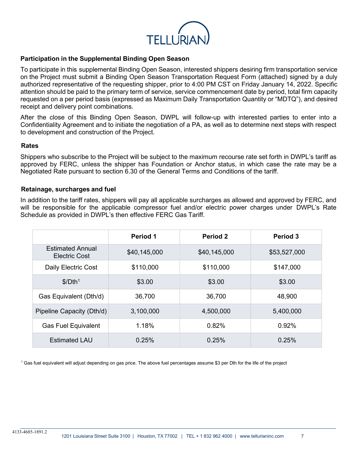![](_page_6_Picture_0.jpeg)

#### **Participation in the Supplemental Binding Open Season**

To participate in this supplemental Binding Open Season, interested shippers desiring firm transportation service on the Project must submit a Binding Open Season Transportation Request Form (attached) signed by a duly authorized representative of the requesting shipper, prior to 4:00 PM CST on Friday January 14, 2022. Specific attention should be paid to the primary term of service, service commencement date by period, total firm capacity requested on a per period basis (expressed as Maximum Daily Transportation Quantity or "MDTQ"), and desired receipt and delivery point combinations.

After the close of this Binding Open Season, DWPL will follow-up with interested parties to enter into a Confidentiality Agreement and to initiate the negotiation of a PA, as well as to determine next steps with respect to development and construction of the Project.

#### **Rates**

Shippers who subscribe to the Project will be subject to the maximum recourse rate set forth in DWPL's tariff as approved by FERC, unless the shipper has Foundation or Anchor status, in which case the rate may be a Negotiated Rate pursuant to section 6.30 of the General Terms and Conditions of the tariff.

#### **Retainage, surcharges and fuel**

In addition to the tariff rates, shippers will pay all applicable surcharges as allowed and approved by FERC, and will be responsible for the applicable compressor fuel and/or electric power charges under DWPL's Rate Schedule as provided in DWPL's then effective FERC Gas Tariff.

|                                                 | <b>Period 1</b> | <b>Period 2</b> | Period <sub>3</sub> |
|-------------------------------------------------|-----------------|-----------------|---------------------|
| <b>Estimated Annual</b><br><b>Electric Cost</b> | \$40,145,000    | \$40,145,000    | \$53,527,000        |
| Daily Electric Cost                             | \$110,000       | \$110,000       | \$147,000           |
| \$/Dth <sup>1</sup>                             | \$3.00          | \$3.00          | \$3.00              |
| Gas Equivalent (Dth/d)                          | 36,700          | 36,700          | 48,900              |
| Pipeline Capacity (Dth/d)                       | 3,100,000       | 4,500,000       | 5,400,000           |
| <b>Gas Fuel Equivalent</b>                      | 1.18%           | 0.82%           | 0.92%               |
| Estimated LAU                                   | 0.25%           | 0.25%           | 0.25%               |

<sup>1</sup> Gas fuel equivalent will adjust depending on gas price. The above fuel percentages assume \$3 per Dth for the life of the project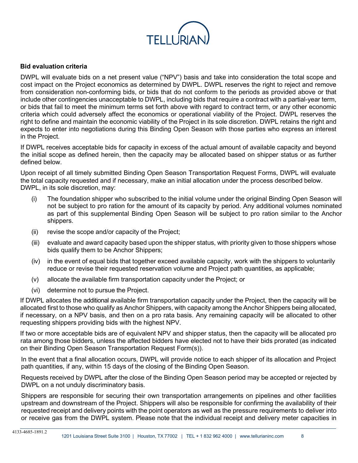![](_page_7_Picture_0.jpeg)

#### **Bid evaluation criteria**

DWPL will evaluate bids on a net present value ("NPV") basis and take into consideration the total scope and cost impact on the Project economics as determined by DWPL. DWPL reserves the right to reject and remove from consideration non-conforming bids, or bids that do not conform to the periods as provided above or that include other contingencies unacceptable to DWPL, including bids that require a contract with a partial-year term, or bids that fail to meet the minimum terms set forth above with regard to contract term, or any other economic criteria which could adversely affect the economics or operational viability of the Project. DWPL reserves the right to define and maintain the economic viability of the Project in its sole discretion. DWPL retains the right and expects to enter into negotiations during this Binding Open Season with those parties who express an interest in the Project.

If DWPL receives acceptable bids for capacity in excess of the actual amount of available capacity and beyond the initial scope as defined herein, then the capacity may be allocated based on shipper status or as further defined below.

Upon receipt of all timely submitted Binding Open Season Transportation Request Forms, DWPL will evaluate the total capacity requested and if necessary, make an initial allocation under the process described below. DWPL, in its sole discretion, may:

- (i) The foundation shipper who subscribed to the initial volume under the original Binding Open Season will not be subject to pro ration for the amount of its capacity by period. Any additional volumes nominated as part of this supplemental Binding Open Season will be subject to pro ration similar to the Anchor shippers.
- (ii) revise the scope and/or capacity of the Project;
- (iii) evaluate and award capacity based upon the shipper status, with priority given to those shippers whose bids qualify them to be Anchor Shippers;
- (iv) in the event of equal bids that together exceed available capacity, work with the shippers to voluntarily reduce or revise their requested reservation volume and Project path quantities, as applicable;
- (v) allocate the available firm transportation capacity under the Project; or
- (vi) determine not to pursue the Project.

If DWPL allocates the additional available firm transportation capacity under the Project, then the capacity will be allocated first to those who qualify as Anchor Shippers, with capacity among the Anchor Shippers being allocated, if necessary, on a NPV basis, and then on a pro rata basis. Any remaining capacity will be allocated to other requesting shippers providing bids with the highest NPV.

If two or more acceptable bids are of equivalent NPV and shipper status, then the capacity will be allocated pro rata among those bidders, unless the affected bidders have elected not to have their bids prorated (as indicated on their Binding Open Season Transportation Request Form(s)).

In the event that a final allocation occurs, DWPL will provide notice to each shipper of its allocation and Project path quantities, if any, within 15 days of the closing of the Binding Open Season.

Requests received by DWPL after the close of the Binding Open Season period may be accepted or rejected by DWPL on a not unduly discriminatory basis.

Shippers are responsible for securing their own transportation arrangements on pipelines and other facilities upstream and downstream of the Project. Shippers will also be responsible for confirming the availability of their requested receipt and delivery points with the point operators as well as the pressure requirements to deliver into or receive gas from the DWPL system. Please note that the individual receipt and delivery meter capacities in